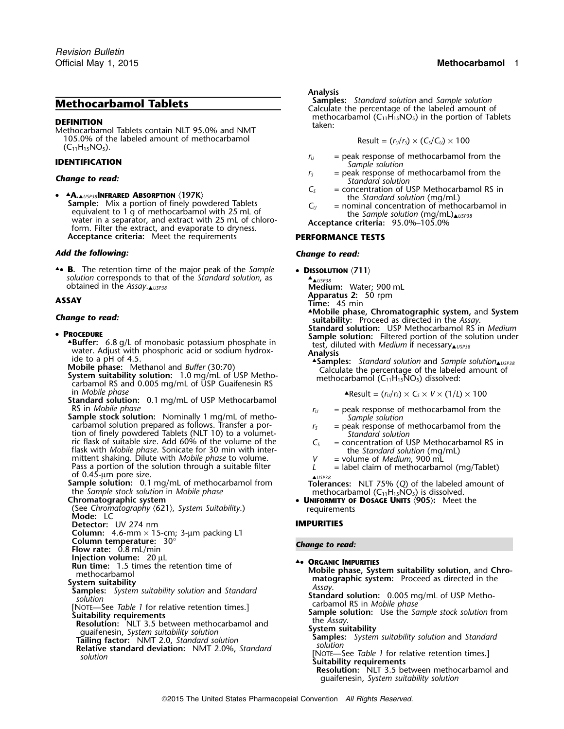**DEFINITION**<br>Methocarbamol Tablets contain NLT 95.0% and NMT taken: 105.0% of the labeled amount of methocarbamol  $(C_{11}H_{15}NO_5)$ .

•**A.** USIPER **ALUST ALL STATE OF ALL STATE OF A LIST AND THE STATE OF A LIST AND THE STATE OF SAMPLE: Mix a portion of finely powdered Tablets<br>
<b>Sample:** Mix a portion of finely powdered Tablets<br>
equivalent to 1 g of metho equivalent to T g or metriocal barrior with 25 mL or<br>water in a separator, and extract with 25 mL of chloro-<br>form. Filter the extract, and evaporate to dryness.<br>The Magnetic Acceptance criteria: 95.0%–105.0% **Acceptance criteria:** Meet the requirements **PERFORMANCE TESTS**

# *Add the following: Change to read:*

▲■ **B.** The retention time of the major peak of the Sample **B.** The retention time of the major peak of the *Sample* • **DISSOLUTION**  $\langle 711 \rangle$  *solution* corresponds to that of the *Standard solution*, as **A.**  $\Delta_{\text{LUSP38}}$  **Medium:** Water; 900 mL **obtained in the Assay.** ▲ USP38

- PROCEDURE
	- **buffer:** 6.8 and the monobasic potation of monoton potation in the monoton potation in the monoton with **Analysis**<br> **Analysis Analysis Analysis Analysis Analysis Analysis Analysis Analysis Analysis** *Anal*
	-
	- **Mobile phase:** Methanol and *Butter* (30:70) Calculate the percentage of the labeled amount of **System suitability solution:** 1.0 mg/mL of USP Metho-<br>
	carbamol RS and 0.005 mg/mL of USP Guaifenesin RS<br>
	carbamol RS and 0. in *Mobile phase* ▲.Result = (*<sup>r</sup>U*/*<sup>r</sup>S*) <sup>×</sup> *<sup>C</sup><sup>S</sup>* <sup>×</sup> *<sup>V</sup>* <sup>×</sup> (1/*L*) ×<sup>100</sup>
	- **Standard solution:** 0.1 mg/mL of USP Methocarbamol
	- RS in *Mobile phase*<br> **Sample stock solution:** Nominally 1 mg/mL of metho-<br>
	carbamol solution prepared as follows. Transfer a por-<br>
	tion of finely powdered Tablets (NLT 10) to a volumet-<br>
	ric flask of suitable size. Add 6 ric flask of suitable size. Add 60% of the volume of the  $C_5$ flask with *Mobile phase*. Sonicate for 30 min with inter-<br>mittent shaking. Dilute with *Mobile phase* to volume.<br>Pass a portion of the solution through a suitable filter  $V =$  label claim of methocarbamol (mg/Tablet) Pass a portion of the solution through a suitable filter *L*<br>
	of 0.45-µm pore size.<br> **Sample solution:** 0.1 mg/mL of methocarbamol from **Tolera**

- 
- (See *Chromatography* 〈621〉*, System Suitability*.) requirements **Mode:** LC
- **Detector:** UV 274 nm **IMPURITIES**
- **Column:** 4.6-mm × 15-cm; 3-µm packing L1
- 
- **Column temperature:** 30° *Change to read:* **Flow rate:** 0.8 mL/min
- **Injection volume:**<sup>20</sup> <sup>µ</sup><sup>L</sup> ▲
- **REGISTER 1.5 times the retention time of <b>A CRGANIC IMPURITIES** Run time: 1.5 times the retention time of
- 
- System suitability<br>
Samples: System suitability solution and Standard<br>
solution<br>
Standard solution: 0.005 mg/mL of USP Metho-<br>
Standard solution: 0.005 mg/mL of USP Metho-<br>
Suitability requirements<br>
Suitability requirement
- 
- Examples the Assay.<br>
Resolution: NLT 3.5 between methocarbamol and<br>
quaifensin, System suitability solution<br>
Tailing factor: NMT 2.0, Standard solution<br>
Relative standard deviation: NMT 2.0%, Standard<br>
solution [NOTE—See T
- 
- 

# *.* **Analysis**

**Methocarbamol Tablets**<br> **Samples:** *Standard solution* and *Sample solution*<br>
Calculate the percentage of the labeled amount of<br>
methocarbamol (C<sub>11</sub>H<sub>15</sub>NO<sub>5</sub>) in the portion of Tablets

$$
Result = (r_U/r_S) \times (C_S/C_U) \times 100
$$

- **IDENTIFICATION IDENTIFICATION IDENTIFICATION IDENTIFICATION** *Sample solution Sample solution*
- **Change to read: Change to read:** *change to read:**Standard solution*  $r_s$  = peak response of methocarbamol from the *Standard solution* 
	- $C<sub>S</sub>$  = concentration of USP Methocarbamol RS in
	-
	-

- - ▲*USP38*
- **Apparatus 2:** 50 rpm **ASSAY Time:** 45 min
	-

▲**.Mobile phase, Chromatographic system,** and **System** *Change to read:* **suitability:** Proceed as directed in the *Assay*. **Standard solution:** USP Methocarbamol RS in *Medium* **PROCEDURE**<br> **ABUTTER:** 6.8 g/L of monobasic potassium phosphate in **Sample solution:** Filtered portion of the solution under test, diluted with *Medium* if necessary a uses

- 
- 
- 
- 
- 

**Sample solution:** 0.1 mg/mL of methocarbamol from **Tolerances:** NLT 75% (Q) of the labeled amount of the *Sample stock solution* in *Mobile phase*<br> **Chromatographic system Mobile phase Chromatographic system Chroma** 

- 
- methocarbamol and chemicarbamol and the original model of **Mobile phase, System suitability solution,** and Chro-<br>
matographic system: Proceed as directed in the<br>
extern suitability
	-
- **Suitability requirements**<br> **Sample solution:** Use the *Sample stock solution* from<br> **Resolution:** NLT 3.5 between methocarbamol and<br> **Resolution:** NLT 3.5 between methocarbamol and<br> **Resolution:** NLT 3.5 between methocarb
	-
	-

**Resolution:** NLT 3.5 between methocarbamol and guaifenesin, *System suitability solution*